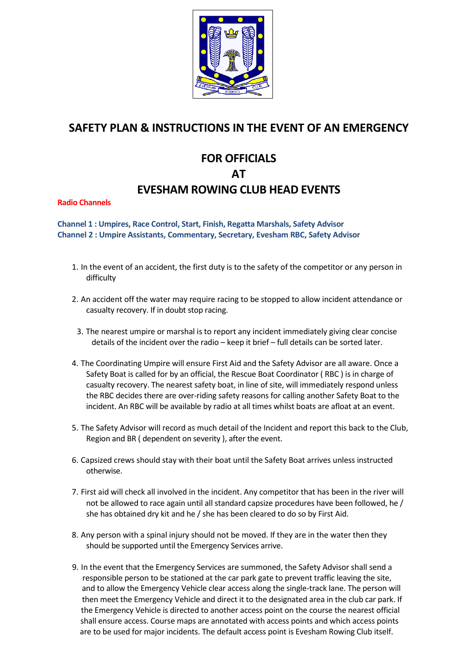

## **SAFETY PLAN & INSTRUCTIONS IN THE EVENT OF AN EMERGENCY**

## **FOR OFFICIALS AT EVESHAM ROWING CLUB HEAD EVENTS**

**Radio Channels** 

**Channel 1 : Umpires, Race Control, Start, Finish, Regatta Marshals, Safety Advisor Channel 2 : Umpire Assistants, Commentary, Secretary, Evesham RBC, Safety Advisor**

- 1. In the event of an accident, the first duty is to the safety of the competitor or any person in difficulty
- 2. An accident off the water may require racing to be stopped to allow incident attendance or casualty recovery. If in doubt stop racing.
	- 3. The nearest umpire or marshal is to report any incident immediately giving clear concise details of the incident over the radio – keep it brief – full details can be sorted later.
- 4. The Coordinating Umpire will ensure First Aid and the Safety Advisor are all aware. Once a Safety Boat is called for by an official, the Rescue Boat Coordinator ( RBC ) is in charge of casualty recovery. The nearest safety boat, in line of site, will immediately respond unless the RBC decides there are over-riding safety reasons for calling another Safety Boat to the incident. An RBC will be available by radio at all times whilst boats are afloat at an event.
- 5. The Safety Advisor will record as much detail of the Incident and report this back to the Club, Region and BR ( dependent on severity ), after the event.
- 6. Capsized crews should stay with their boat until the Safety Boat arrives unless instructed otherwise.
- 7. First aid will check all involved in the incident. Any competitor that has been in the river will not be allowed to race again until all standard capsize procedures have been followed, he / she has obtained dry kit and he / she has been cleared to do so by First Aid.
- 8. Any person with a spinal injury should not be moved. If they are in the water then they should be supported until the Emergency Services arrive.
- 9. In the event that the Emergency Services are summoned, the Safety Advisor shall send a responsible person to be stationed at the car park gate to prevent traffic leaving the site, and to allow the Emergency Vehicle clear access along the single-track lane. The person will then meet the Emergency Vehicle and direct it to the designated area in the club car park. If the Emergency Vehicle is directed to another access point on the course the nearest official shall ensure access. Course maps are annotated with access points and which access points are to be used for major incidents. The default access point is Evesham Rowing Club itself.